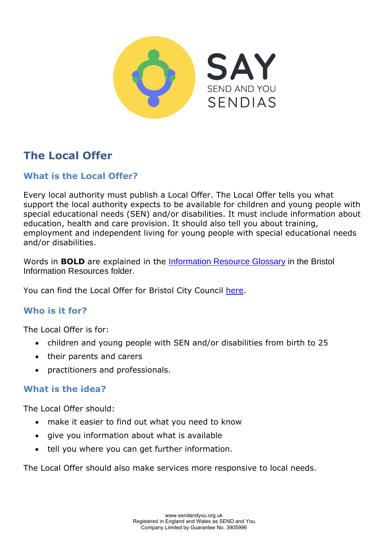

# **The Local Offer**

## **What is the Local Offer?**

Every local authority must publish a Local Offer. The Local Offer tells you what support the local authority expects to be available for children and young people with special educational needs (SEN) and/or disabilities. It must include information about education, health and care provision. It should also tell you about training, employment and independent living for young people with special educational needs and/or disabilities.

Words in **BOLD** are explained in the **Information Resource Glossary** in the Bristol Information Resources folder.

You can find the Local Offer for Bristol City Council [here.](https://www.bristol.gov.uk/web/bristol-local-offer)

## **Who is it for?**

The Local Offer is for:

- children and young people with SEN and/or disabilities from birth to 25
- their parents and carers
- practitioners and professionals.

#### **What is the idea?**

The Local Offer should:

- make it easier to find out what you need to know
- give you information about what is available
- tell you where you can get further information.

The Local Offer should also make services more responsive to local needs.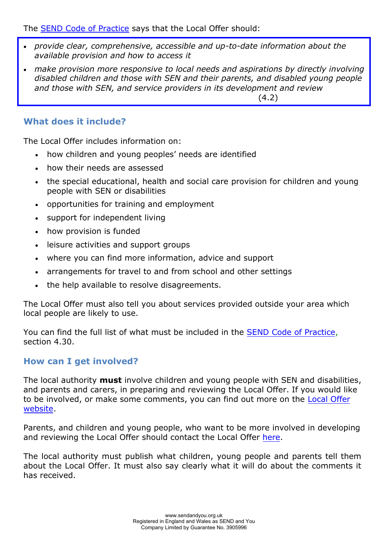The [SEND Code of Practice](https://www.gov.uk/government/publications/send-code-of-practice-0-to-25) says that the Local Offer should:

- *provide clear, comprehensive, accessible and up-to-date information about the available provision and how to access it*
- *make provision more responsive to local needs and aspirations by directly involving disabled children and those with SEN and their parents, and disabled young people and those with SEN, and service providers in its development and review*

(4.2)

## **What does it include?**

The Local Offer includes information on:

- how children and young peoples' needs are identified
- how their needs are assessed
- the special educational, health and social care provision for children and young people with SEN or disabilities
- opportunities for training and employment
- support for independent living
- how provision is funded
- leisure activities and support groups
- where you can find more information, advice and support
- arrangements for travel to and from school and other settings
- the help available to resolve disagreements.

The Local Offer must also tell you about services provided outside your area which local people are likely to use.

You can find the full list of what must be included in the [SEND Code of Practice,](https://www.gov.uk/government/publications/send-code-of-practice-0-to-25)  section 4.30.

#### **How can I get involved?**

The local authority **must** involve children and young people with SEN and disabilities, and parents and carers, in preparing and reviewing the Local Offer. If you would like to be involved, or make some comments, you can find out more on the [Local Offer](https://www.bristol.gov.uk/web/bristol-local-offer) [website.](https://www.bristol.gov.uk/web/bristol-local-offer)

Parents, and children and young people, who want to be more involved in developing and reviewing the Local Offer should contact the Local Offer [here.](https://www.bristol.gov.uk/web/bristol-local-offer)

The local authority must publish what children, young people and parents tell them about the Local Offer. It must also say clearly what it will do about the comments it has received.